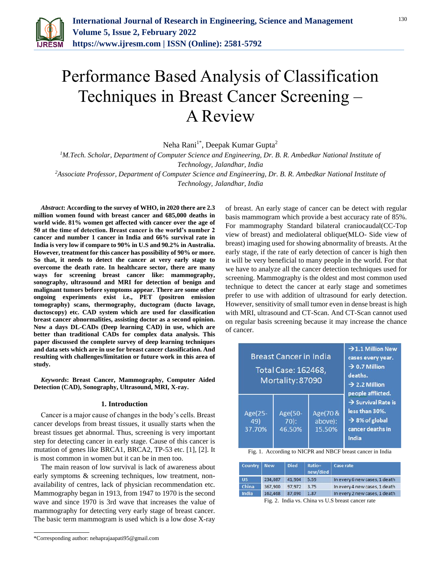

# Performance Based Analysis of Classification Techniques in Breast Cancer Screening – A Review

Neha Rani<sup>1\*</sup>, Deepak Kumar Gupta<sup>2</sup>

*<sup>1</sup>M.Tech. Scholar, Department of Computer Science and Engineering, Dr. B. R. Ambedkar National Institute of* 

*Technology, Jalandhar, India*

*<sup>2</sup>Associate Professor, Department of Computer Science and Engineering, Dr. B. R. Ambedkar National Institute of Technology, Jalandhar, India*

*Abstract***: According to the survey of WHO, in 2020 there are 2.3 million women found with breast cancer and 685,000 deaths in world wide. 81% women get affected with cancer over the age of 50 at the time of detection. Breast cancer is the world's number 2 cancer and number 1 cancer in India and 66% survival rate in India is very low if compare to 90% in U.S and 90.2% in Australia. However, treatment for this cancer has possibility of 90% or more. So that, it needs to detect the cancer at very early stage to overcome the death rate. In healthcare sector, there are many ways for screening breast cancer like: mammography, sonography, ultrasound and MRI for detection of benign and malignant tumors before symptoms appear. There are some other ongoing experiments exist i.e., PET (positron emission tomography) scans, thermography, ductogram (ducto lavage, ductoscopy) etc. CAD system which are used for classification breast cancer abnormalities, assisting doctor as a second opinion. Now a days DL-CADs (Deep learning CAD) in use, which are better than traditional CADs for complex data analysis. This paper discussed the complete survey of deep learning techniques and data sets which are in use for breast cancer classification. And resulting with challenges/limitation or future work in this area of study.**

*Keywords***: Breast Cancer, Mammography, Computer Aided Detection (CAD), Sonography, Ultrasound, MRI, X-ray.**

#### **1. Introduction**

Cancer is a major cause of changes in the body's cells. Breast cancer develops from breast tissues, it usually starts when the breast tissues get abnormal. Thus, screening is very important step for detecting cancer in early stage. Cause of this cancer is mutation of genes like BRCA1, BRCA2, TP-53 etc. [1], [2]. It is most common in women but it can be in men too.

The main reason of low survival is lack of awareness about early symptoms & screening techniques, low treatment, nonavailability of centres, lack of physician recommendation etc. Mammography began in 1913, from 1947 to 1970 is the second wave and since 1970 is 3rd wave that increases the value of mammography for detecting very early stage of breast cancer. The basic term mammogram is used which is a low dose X-ray of breast. An early stage of cancer can be detect with regular basis mammogram which provide a best accuracy rate of 85%. For mammography Standard bilateral craniocaudal(CC-Top view of breast) and mediolateral oblique(MLO- Side view of breast) imaging used for showing abnormality of breasts. At the early stage, if the rate of early detection of cancer is high then it will be very beneficial to many people in the world. For that we have to analyze all the cancer detection techniques used for screening. Mammography is the oldest and most common used technique to detect the cancer at early stage and sometimes prefer to use with addition of ultrasound for early detection. However, sensitivity of small tumor even in dense breast is high with MRI, ultrasound and CT-Scan. And CT-Scan cannot used on regular basis screening because it may increase the chance of cancer.

|                          | <b>Breast Cancer in India</b><br>Total Case: 162468,<br>Mortality: 87090 | $\rightarrow$ 1.1 Million New<br>cases every year.<br>$\rightarrow$ 0.7 Million<br>deaths.<br>$\rightarrow$ 2.2 Million<br>people afflicted. |                                                                                                             |
|--------------------------|--------------------------------------------------------------------------|----------------------------------------------------------------------------------------------------------------------------------------------|-------------------------------------------------------------------------------------------------------------|
| Age(25-<br>49)<br>37.70% | Age(50-<br>$70$ :<br>46.50%                                              | Age(70 &<br>above):<br>15.50%                                                                                                                | $\rightarrow$ Survival Rate is<br>less than 30%.<br>$\rightarrow$ 8% of global<br>cancer deaths in<br>India |

Fig. 1. According to NICPR and NBCF breast cancer in India

| Country   New |         | <b>Died</b> | Ratio=<br>new/died | Case rate                     |
|---------------|---------|-------------|--------------------|-------------------------------|
| <b>US</b>     | 234,087 | 41.904      | 5.59               | In every 6 new cases, 1 death |
| China         | 367,900 | 97,972      | 3.75               | In every 4 new cases, 1 death |
| India         | 162.468 | 87.090      | 1.87               | In every 2 new cases, 1 death |

Fig. 2. India vs. China vs U.S breast cancer rate

<sup>\*</sup>Corresponding author: nehaprajaapati95@gmail.com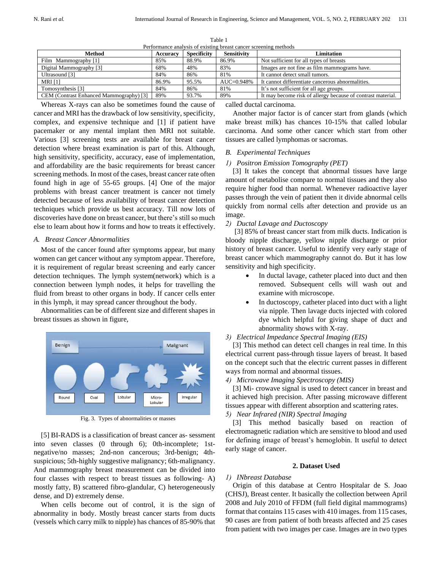| Performance analysis of existing breast cancer screening methods |          |                    |                    |                                                             |  |
|------------------------------------------------------------------|----------|--------------------|--------------------|-------------------------------------------------------------|--|
| <b>Method</b>                                                    | Accuracy | <b>Specificity</b> | <b>Sensitivity</b> | <b>Limitation</b>                                           |  |
| Film Mammography [1]                                             | 85%      | 88.9%              | 86.9%              | Not sufficient for all types of breasts                     |  |
| Digital Mammography [3]                                          | 68%      | 48%                | 83%                | Images are not fine as film mammograms have.                |  |
| Ultrasound [3]                                                   | 84%      | 86%                | 81%                | It cannot detect small tumors.                              |  |
| <b>MRI</b> [1]                                                   | 86.9%    | 95.5%              | $AUC = 0.948%$     | It cannot differentiate cancerous abnormalities.            |  |
| Tomosynthesis [3]                                                | 84%      | 86%                | 81%                | It's not sufficient for all age groups.                     |  |
| CEM (Contrast Enhanced Mammography) [3]                          | 89%      | 93.7%              | 89%                | It may become risk of allergy because of contrast material. |  |

Table 1

Whereas X-rays can also be sometimes found the cause of cancer and MRI has the drawback of low sensitivity, specificity, complex, and expensive technique and [1] if patient have pacemaker or any mental implant then MRI not suitable. Various [3] screening tests are available for breast cancer detection where breast examination is part of this. Although, high sensitivity, specificity, accuracy, ease of implementation, and affordability are the basic requirements for breast cancer screening methods. In most of the cases, breast cancer rate often found high in age of 55-65 groups. [4] One of the major problems with breast cancer treatment is cancer not timely detected because of less availability of breast cancer detection techniques which provide us best accuracy. Till now lots of discoveries have done on breast cancer, but there's still so much else to learn about how it forms and how to treats it effectively.

## *A. Breast Cancer Abnormalities*

Most of the cancer found after symptoms appear, but many women can get cancer without any symptom appear. Therefore, it is requirement of regular breast screening and early cancer detection techniques. The lymph system(network) which is a connection between lymph nodes, it helps for travelling the fluid from breast to other organs in body. If cancer cells enter in this lymph, it may spread cancer throughout the body.

Abnormalities can be of different size and different shapes in breast tissues as shown in figure,



Fig. 3. Types of abnormalities or masses

[5] BI-RADS is a classification of breast cancer as- sessment into seven classes (0 through 6); 0th-incomplete; 1stnegative/no masses; 2nd-non cancerous; 3rd-benign; 4thsuspicious; 5th-highly suggestive malignancy; 6th-malignancy. And mammography breast measurement can be divided into four classes with respect to breast tissues as following- A) mostly fatty, B) scattered fibro-glandular, C) heterogeneously dense, and D) extremely dense.

When cells become out of control, it is the sign of abnormality in body. Mostly breast cancer starts from ducts (vessels which carry milk to nipple) has chances of 85-90% that called ductal carcinoma.

Another major factor is of cancer start from glands (which make breast milk) has chances 10-15% that called lobular carcinoma. And some other cancer which start from other tissues are called lymphomas or sacromas.

#### *B. Experimental Techniques*

#### *1) Positron Emission Tomography (PET)*

[3] It takes the concept that abnormal tissues have large amount of metabolise compare to normal tissues and they also require higher food than normal. Whenever radioactive layer passes through the vein of patient then it divide abnormal cells quickly from normal cells after detection and provide us an image.

#### *2) Ductal Lavage and Ductoscopy*

[3] 85% of breast cancer start from milk ducts. Indication is bloody nipple discharge, yellow nipple discharge or prior history of breast cancer. Useful to identify very early stage of breast cancer which mammography cannot do. But it has low sensitivity and high specificity.

- In ductal lavage, catheter placed into duct and then removed. Subsequent cells will wash out and examine with microscope.
- In ductoscopy, catheter placed into duct with a light via nipple. Then lavage ducts injected with colored dye which helpful for giving shape of duct and abnormality shows with X-ray.

#### *3) Electrical Impedance Spectral Imaging (EIS)*

[3] This method can detect cell changes in real time. In this electrical current pass-through tissue layers of breast. It based on the concept such that the electric current passes in different ways from normal and abnormal tissues.

## *4) Microwave Imaging Spectroscopy (MIS)*

[3] Mi- crowave signal is used to detect cancer in breast and it achieved high precision. After passing microwave different tissues appear with different absorption and scattering rates.

# *5) Near Infrared (NIR) Spectral Imaging*

[3] This method basically based on reaction of electromagnetic radiation which are sensitive to blood and used for defining image of breast's hemoglobin. It useful to detect early stage of cancer.

#### **2. Dataset Used**

## *1) INbreast Database*

Origin of this database at Centro Hospitalar de S. Joao (CHSJ), Breast center. It basically the collection between April 2008 and July 2010 of FFDM (full field digital mammograms) format that contains 115 cases with 410 images. from 115 cases, 90 cases are from patient of both breasts affected and 25 cases from patient with two images per case. Images are in two types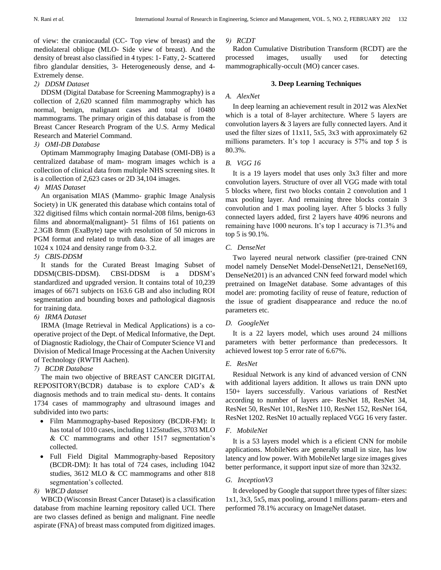of view: the craniocaudal (CC- Top view of breast) and the mediolateral oblique (MLO- Side view of breast). And the density of breast also classified in 4 types: 1- Fatty, 2- Scattered fibro glandular densities, 3- Heterogeneously dense, and 4- Extremely dense.

## *2) DDSM Dataset*

DDSM (Digital Database for Screening Mammography) is a collection of 2,620 scanned film mammography which has normal, benign, malignant cases and total of 10480 mammograms. The primary origin of this database is from the Breast Cancer Research Program of the U.S. Army Medical Research and Materiel Command.

# *3) OMI-DB Database*

Optimam Mammography Imaging Database (OMI-DB) is a centralized database of mam- mogram images wchich is a collection of clinical data from multiple NHS screening sites. It is a collection of 2,623 cases or 2D 34,104 images.

## *4) MIAS Dataset*

An organisation MIAS (Mammo- graphic Image Analysis Society) in UK generated this database which contains total of 322 digitised films which contain normal-208 films, benign-63 films and abnormal(malignant)- 51 films of 161 patients on 2.3GB 8mm (ExaByte) tape with resolution of 50 microns in PGM format and related to truth data. Size of all images are 1024 x 1024 and density range from 0-3.2.

## *5) CBIS-DDSM*

It stands for the Curated Breast Imaging Subset of DDSM(CBIS-DDSM). CBSI-DDSM is a DDSM's standardized and upgraded version. It contains total of 10,239 images of 6671 subjects on 163.6 GB and also including ROI segmentation and bounding boxes and pathological diagnosis for training data.

## *6) IRMA Dataset*

IRMA (Image Retrieval in Medical Applications) is a cooperative project of the Dept. of Medical Informative, the Dept. of Diagnostic Radiology, the Chair of Computer Science VI and Division of Medical Image Processing at the Aachen University of Technology (RWTH Aachen).

# *7) BCDR Database*

The main two objective of BREAST CANCER DIGITAL REPOSITORY(BCDR) database is to explore CAD's & diagnosis methods and to train medical stu- dents. It contains 1734 cases of mammography and ultrasound images and subdivided into two parts:

- Film Mammography-based Repository (BCDR-FM): It has total of 1010 cases, including 1125studies, 3703 MLO & CC mammograms and other 1517 segmentation's collected.
- Full Field Digital Mammography-based Repository (BCDR-DM): It has total of 724 cases, including 1042 studies, 3612 MLO & CC mammograms and other 818 segmentation's collected.

# *8) WBCD dataset*

WBCD (Wisconsin Breast Cancer Dataset) is a classification database from machine learning repository called UCI. There are two classes defined as benign and malignant. Fine needle aspirate (FNA) of breast mass computed from digitized images.

## *9) RCDT*

Radon Cumulative Distribution Transform (RCDT) are the processed images, usually used for detecting mammographically-occult (MO) cancer cases.

## **3. Deep Learning Techniques**

## *A. AlexNet*

In deep learning an achievement result in 2012 was AlexNet which is a total of 8-layer architecture. Where 5 layers are convolution layers & 3 layers are fully connected layers. And it used the filter sizes of 11x11, 5x5, 3x3 with approximately 62 millions parameters. It's top 1 accuracy is 57% and top 5 is 80.3%.

## *B. VGG 16*

It is a 19 layers model that uses only 3x3 filter and more convolution layers. Structure of over all VGG made with total 5 blocks where, first two blocks contain 2 convolution and 1 max pooling layer. And remaining three blocks contain 3 convolution and 1 max pooling layer. After 5 blocks 3 fully connected layers added, first 2 layers have 4096 neurons and remaining have 1000 neurons. It's top 1 accuracy is 71.3% and top 5 is 90.1%.

## *C. DenseNet*

Two layered neural network classifier (pre-trained CNN model namely DenseNet Model-DenseNet121, DenseNet169, DenseNet201) is an advanced CNN feed forward model which pretrained on ImageNet database. Some advantages of this model are: promoting facility of reuse of feature, reduction of the issue of gradient disappearance and reduce the no.of parameters etc.

## *D. GoogleNet*

It is a 22 layers model, which uses around 24 millions parameters with better performance than predecessors. It achieved lowest top 5 error rate of 6.67%.

## *E. ResNet*

Residual Network is any kind of advanced version of CNN with additional layers addition. It allows us train DNN upto 150+ layers successfully. Various variations of RestNet according to number of layers are- ResNet 18, ResNet 34, ResNet 50, ResNet 101, ResNet 110, ResNet 152, ResNet 164, ResNet 1202. ResNet 10 actually replaced VGG 16 very faster.

## *F. MobileNet*

It is a 53 layers model which is a eficient CNN for mobile applications. MobileNets are generally small in size, has low latency and low power. With MobileNet large size images gives better performance, it support input size of more than 32x32.

# *G. InceptionV3*

It developed by Google that support three types of filter sizes: 1x1, 3x3, 5x5, max pooling, around 1 millions param- eters and performed 78.1% accuracy on ImageNet dataset.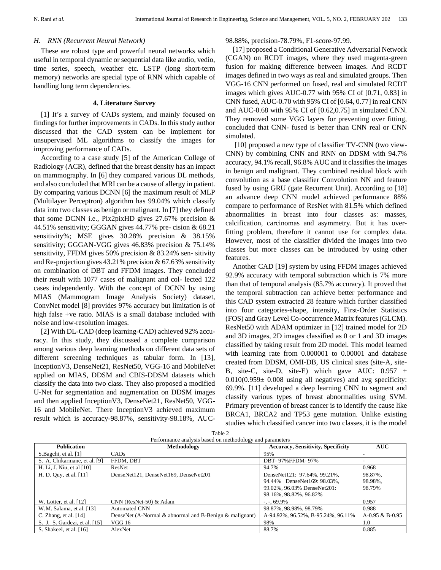#### *H. RNN (Recurrent Neural Network)*

These are robust type and powerful neural networks which useful in temporal dynamic or sequential data like audio, vedio, time series, speech, weather etc. LSTP (long short-term memory) networks are special type of RNN which capable of handling long term dependencies.

#### **4. Literature Survey**

[1] It's a survey of CADs system, and mainly focused on findings for further improvements in CADs. In this study author discussed that the CAD system can be implement for unsupervised ML algorithms to classify the images for improving performance of CADs.

According to a case study [5] of the American College of Radiology (ACR), defined that the breast density has an impact on mammography. In [6] they compared various DL methods, and also concluded that MRI can be a cause of allergy in patient. By comparing various DCNN [6] the maximum result of MLP (Multilayer Perceptron) algorithm has 99.04% which classify data into two classes as benign or malignant. In [7] they defined that some DCNN i.e., Pix2pixHD gives 27.67% precision & 44.51% sensitivity; GGGAN gives 44.77% pre- cision & 68.21 sensitivity%; MSE gives 30.28% precision & 38.15% sensitivity; GGGAN-VGG gives 46.83% precision & 75.14% sensitivity, FFDM gives 50% precision & 83.24% sen- sitivity and Re-projection gives 43.21% precision & 67.63% sensitivity on combination of DBT and FFDM images. They concluded their result with 1077 cases of malignant and col- lected 122 cases independently. With the concept of DCNN by using MIAS (Mammogram Image Analysis Society) dataset, ConvNet model [8] provides 97% accuracy but limitation is of high false +ve ratio. MIAS is a small database included with noise and low-resolution images.

[2] With DL-CAD (deep learning-CAD) achieved 92% accuracy. In this study, they discussed a complete comparison among various deep learning methods on different data sets of different screening techniques as tabular form. In [13], InceptionV3, DenseNet21, ResNet50, VGG-16 and MobileNet applied on MIAS, DDSM and CBIS-DDSM datasets which classify the data into two class. They also proposed a modified U-Net for segmentation and augmentation on DDSM images and then applied InceptionV3, DenseNet21, ResNet50, VGG-16 and MobileNet. There InceptionV3 achieved maximum result which is accuracy-98.87%, sensitivity-98.18%, AUC-

98.88%, precision-78.79%, F1-score-97.99.

[17] proposed a Conditional Generative Adversarial Network (CGAN) on RCDT images, where they used magenta-green fusion for making difference between images. And RCDT images defined in two ways as real and simulated groups. Then VGG-16 CNN performed on fused, real and simulated RCDT images which gives AUC-0.77 with 95% CI of [0.71, 0.83] in CNN fused, AUC-0.70 with 95% CI of [0.64, 0.77] in real CNN and AUC-0.68 with 95% CI of [0.62,0.75] in simulated CNN. They removed some VGG layers for preventing over fitting, concluded that CNN- fused is better than CNN real or CNN simulated.

[10] proposed a new type of classifier TV-CNN (two view-CNN) by combining CNN and RNN on DDSM with 94.7% accuracy, 94.1% recall, 96.8% AUC and it classifies the images in benign and malignant. They combined residual block with convolution as a base classifier Convolution NN and feature fused by using GRU (gate Recurrent Unit). According to [18] an advance deep CNN model achieved performance 88% compare to performance of ResNet with 81.5% which defined abnormalities in breast into four classes as: masses, calcification, carcinomas and asymmetry. But it has overfitting problem, therefore it cannot use for complex data. However, most of the classifier divided the images into two classes but more classes can be introduced by using other features.

Another CAD [19] system by using FFDM images achieved 92.9% accuracy with temporal subtraction which is 7% more than that of temporal analysis (85.7% accuracy). It proved that the temporal subtraction can achieve better performance and this CAD system extracted 28 feature which further classified into four categories-shape, intensity, First-Order Statistics (FOS) and Gray Level Co-occurrence Matrix features (GLCM). ResNet50 with ADAM optimizer in [12] trained model for 2D and 3D images, 2D images classified as 0 or 1 and 3D images classified by taking result from 2D model. This model learned with learning rate from 0.000001 to 0.00001 and database created from DDSM, OMI-DB, US clinical sites (site-A, site-B, site-C, site-D, site-E) which gave AUC:  $0.957 \pm$  $0.010(0.959± 0.008$  using all negatives) and avg specificity: 69.9%. [11] developed a deep learning CNN to segment and classify various types of breast abnormalities using SVM. Primary prevention of breast cancer is to identify the cause like BRCA1, BRCA2 and TP53 gene mutation. Unlike existing studies which classified cancer into two classes, it is the model

| <b>Publication</b>            | Methodology                                             | <b>Accuracy, Sensitivity, Specificity</b> | <b>AUC</b>         |
|-------------------------------|---------------------------------------------------------|-------------------------------------------|--------------------|
| S.Bagchi, et al. [1]          | <b>CADs</b>                                             | 95%                                       |                    |
| S. A. Chikarmane, et al. [9]  | FFDM, DBT                                               | DBT-97%FFDM-97%                           |                    |
| H. Li, J. Niu, et al $[10]$   | ResNet                                                  | 94.7%                                     | 0.968              |
| H. D. Quy, et al. [11]        | DenseNet121, DenseNet169, DenseNet201                   | DenseNet121: 97.64%, 99.21%,              | 98.87%,            |
|                               |                                                         | 94.44% DenseNet169: 98.03%,               | 98.98%,            |
|                               |                                                         | 99.02%, 96.03% DenseNet201:               | 98.79%             |
|                               |                                                         | 98.16%, 98.82%, 96.82%                    |                    |
| W. Lotter, et al. $[12]$      | CNN (ResNet-50) & Adam                                  | $-0.69.9\%$                               | 0.957              |
| W.M. Salama, et al. [13]      | <b>Automated CNN</b>                                    | 98.87%, 98.98%, 98.79%                    | 0.988              |
| C. Zhang, et al. $[14]$       | DenseNet (A-Normal & abnormal and B-Benign & malignant) | A-94.92%, 96.52%, B-95.24%, 96.11%        | $A-0.95 \& B-0.95$ |
| S. J. S. Gardezi, et al. [15] | VGG 16                                                  | 98%                                       | 1.0                |
| S. Shakeel, et al. [16]       | AlexNet                                                 | 88.7%                                     | 0.885              |

Table 2 Performance analysis based on methodology and parameters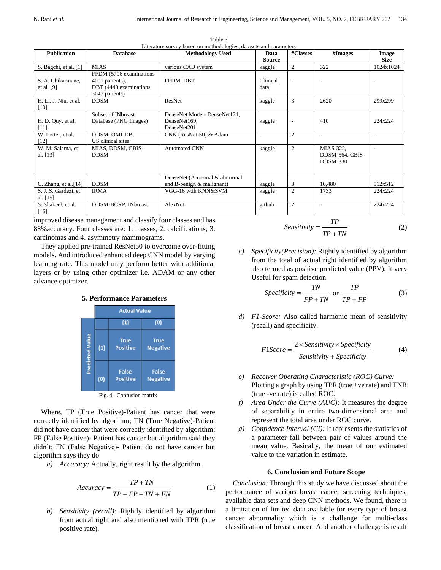| <b>Publication</b>                 | <b>Database</b>                                                                        | <b>Methodology Used</b>                                      | Data<br><b>Source</b> | #Classes                 | #Images                                    | Image<br><b>Size</b> |
|------------------------------------|----------------------------------------------------------------------------------------|--------------------------------------------------------------|-----------------------|--------------------------|--------------------------------------------|----------------------|
| S. Bagchi, et al. [1]              | <b>MIAS</b>                                                                            | various CAD system                                           | kaggle                | $\overline{2}$           | 322                                        | 1024x1024            |
| S. A. Chikarmane,<br>et al. $[9]$  | FFDM (5706 examinations<br>4091 patients),<br>DBT (4440 examinations<br>3647 patients) | FFDM, DBT                                                    | Clinical<br>data      | $\overline{\phantom{0}}$ | $\overline{\phantom{a}}$                   |                      |
| H. Li, J. Niu, et al.<br>[10]      | <b>DDSM</b>                                                                            | ResNet                                                       | kaggle                | 3                        | 2620                                       | 299x299              |
| H. D. Quy, et al.<br>[11]          | <b>Subset of INbreast</b><br>Database (PNG Images)                                     | DenseNet Model-DenseNet121,<br>DenseNet169.<br>DenseNet201   | kaggle                | $\overline{\phantom{0}}$ | 410                                        | 224x224              |
| W. Lotter, et al.<br>[12]          | DDSM, OMI-DB,<br>US clinical sites                                                     | CNN (ResNet-50) & Adam                                       | $\overline{a}$        | $\overline{2}$           | $\overline{\phantom{a}}$                   | ÷                    |
| W. M. Salama, et<br>al. [13]       | MIAS, DDSM, CBIS-<br><b>DDSM</b>                                                       | <b>Automated CNN</b>                                         | kaggle                | $\mathfrak{2}$           | MIAS-322,<br>DDSM-564, CBIS-<br>$DDSM-330$ |                      |
| C. Zhang, et al. $[14]$            | <b>DDSM</b>                                                                            | DenseNet (A-normal & abnormal<br>and B-benign $&$ malignant) | kaggle                | 3                        | 10,480                                     | 512x512              |
| S. J. S. Gardezi, et<br>al. $[15]$ | <b>IRMA</b>                                                                            | VGG-16 wtih KNN&SVM                                          | kaggle                | $\mathfrak{2}$           | 1733                                       | 224x224              |
| S. Shakeel, et al.<br>[16]         | DDSM-BCRP, INbreast                                                                    | AlexNet                                                      | github                | 2                        | $\overline{\phantom{a}}$                   | 224x224              |

Table 3 Literature survey based on methodologies, datasets and parameters

improved disease management and classify four classes and has 88%accuracy. Four classes are: 1. masses, 2. calcifications, 3. carcinomas and 4. asymmetry mammograms.

They applied pre-trained ResNet50 to overcome over-fitting models. And introduced enhanced deep CNN model by varying learning rate. This model may perform better with additional layers or by using other optimizer i.e. ADAM or any other advance optimizer.



**5. Performance Parameters**

Fig. 4. Confusion matrix

Where, TP (True Positive)-Patient has cancer that were correctly identified by algorithm; TN (True Negative)-Patient did not have cancer that were correctly identified by algorithm; FP (False Positive)- Patient has cancer but algorithm said they didn't; FN (False Negative)- Patient do not have cancer but algorithm says they do.

*a) Accuracy:* Actually, right result by the algorithm.

$$
Accuracy = \frac{TP + TN}{TP + FP + TN + FN}
$$
 (1)

*b) Sensitivity (recall):* Rightly identified by algorithm from actual right and also mentioned with TPR (true

$$
Sensitivity = \frac{TP}{TP + TN}
$$
 (2)

*c) Specificity(Precision):* Rightly identified by algorithm from the total of actual right identified by algorithm also termed as positive predicted value (PPV). It very Useful for spam detection.

$$
Specificity = \frac{TN}{FP + TN} \text{ or } \frac{TP}{TP + FP}
$$
 (3)

*d) F1-Score:* Also called harmonic mean of sensitivity (recall) and specificity.

$$
F1Score = \frac{2 \times Sensitivity \times Specificity}{Sensitivity + Specificity}
$$
 (4)

- *e) Receiver Operating Characteristic (ROC) Curve:* Plotting a graph by using TPR (true +ve rate) and TNR (true -ve rate) is called ROC.
- *f) Area Under the Curve (AUC):* It measures the degree of separability in entire two-dimensional area and represent the total area under ROC curve.
- *g) Confidence Interval (CI):* It represents the statistics of a parameter fall between pair of values around the mean value. Basically, the mean of our estimated value to the variation in estimate.

#### **6. Conclusion and Future Scope**

*Conclusion:* Through this study we have discussed about the performance of various breast cancer screening techniques, available data sets and deep CNN methods. We found, there is a limitation of limited data available for every type of breast cancer abnormality which is a challenge for multi-class classification of breast cancer. And another challenge is result